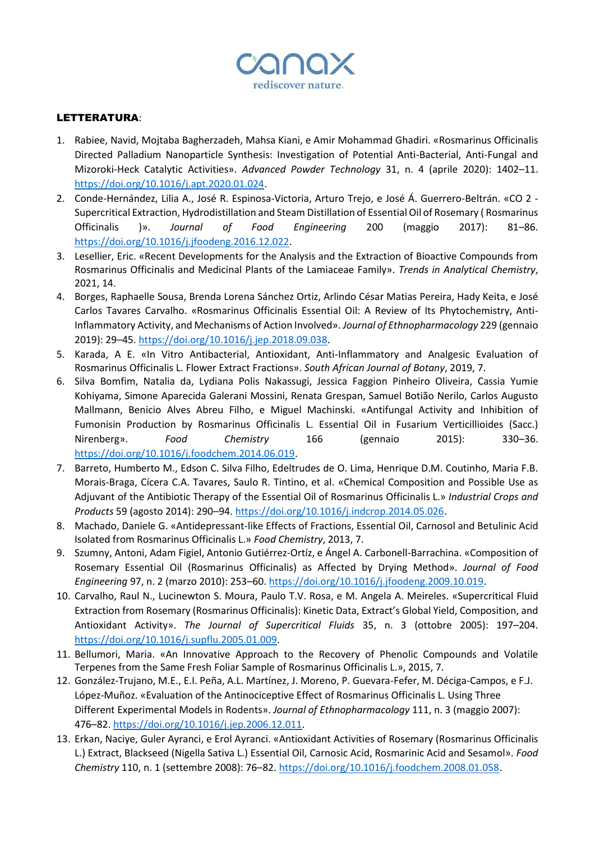

## LETTERATURA:

- 1. Rabiee, Navid, Mojtaba Bagherzadeh, Mahsa Kiani, e Amir Mohammad Ghadiri. «Rosmarinus Officinalis Directed Palladium Nanoparticle Synthesis: Investigation of Potential Anti-Bacterial, Anti-Fungal and Mizoroki-Heck Catalytic Activities». *Advanced Powder Technology* 31, n. 4 (aprile 2020): 1402–11. [https://doi.org/10.1016/j.apt.2020.01.024.](https://doi.org/10.1016/j.apt.2020.01.024)
- 2. Conde-Hernández, Lilia A., José R. Espinosa-Victoria, Arturo Trejo, e José Á. Guerrero-Beltrán. «CO 2 Supercritical Extraction, Hydrodistillation and Steam Distillation of Essential Oil of Rosemary ( Rosmarinus Officinalis )». *Journal of Food Engineering* 200 (maggio 2017): 81–86. [https://doi.org/10.1016/j.jfoodeng.2016.12.022.](https://doi.org/10.1016/j.jfoodeng.2016.12.022)
- 3. Lesellier, Eric. «Recent Developments for the Analysis and the Extraction of Bioactive Compounds from Rosmarinus Officinalis and Medicinal Plants of the Lamiaceae Family». *Trends in Analytical Chemistry*, 2021, 14.
- 4. Borges, Raphaelle Sousa, Brenda Lorena Sánchez Ortiz, Arlindo César Matias Pereira, Hady Keita, e José Carlos Tavares Carvalho. «Rosmarinus Officinalis Essential Oil: A Review of Its Phytochemistry, Anti-Inflammatory Activity, and Mechanisms of Action Involved». *Journal of Ethnopharmacology* 229 (gennaio 2019): 29–45. [https://doi.org/10.1016/j.jep.2018.09.038.](https://doi.org/10.1016/j.jep.2018.09.038)
- 5. Karada, A E. «In Vitro Antibacterial, Antioxidant, Anti-Inflammatory and Analgesic Evaluation of Rosmarinus Officinalis L. Flower Extract Fractions». *South African Journal of Botany*, 2019, 7.
- 6. Silva Bomfim, Natalia da, Lydiana Polis Nakassugi, Jessica Faggion Pinheiro Oliveira, Cassia Yumie Kohiyama, Simone Aparecida Galerani Mossini, Renata Grespan, Samuel Botião Nerilo, Carlos Augusto Mallmann, Benicio Alves Abreu Filho, e Miguel Machinski. «Antifungal Activity and Inhibition of Fumonisin Production by Rosmarinus Officinalis L. Essential Oil in Fusarium Verticillioides (Sacc.) Nirenberg». *Food Chemistry* 166 (gennaio 2015): 330–36. [https://doi.org/10.1016/j.foodchem.2014.06.019.](https://doi.org/10.1016/j.foodchem.2014.06.019)
- 7. Barreto, Humberto M., Edson C. Silva Filho, Edeltrudes de O. Lima, Henrique D.M. Coutinho, Maria F.B. Morais-Braga, Cícera C.A. Tavares, Saulo R. Tintino, et al. «Chemical Composition and Possible Use as Adjuvant of the Antibiotic Therapy of the Essential Oil of Rosmarinus Officinalis L.» *Industrial Crops and Products* 59 (agosto 2014): 290–94. [https://doi.org/10.1016/j.indcrop.2014.05.026.](https://doi.org/10.1016/j.indcrop.2014.05.026)
- 8. Machado, Daniele G. «Antidepressant-like Effects of Fractions, Essential Oil, Carnosol and Betulinic Acid Isolated from Rosmarinus Officinalis L.» *Food Chemistry*, 2013, 7.
- 9. Szumny, Antoni, Adam Figiel, Antonio Gutiérrez-Ortíz, e Ángel A. Carbonell-Barrachina. «Composition of Rosemary Essential Oil (Rosmarinus Officinalis) as Affected by Drying Method». *Journal of Food Engineering* 97, n. 2 (marzo 2010): 253–60. [https://doi.org/10.1016/j.jfoodeng.2009.10.019.](https://doi.org/10.1016/j.jfoodeng.2009.10.019)
- 10. Carvalho, Raul N., Lucinewton S. Moura, Paulo T.V. Rosa, e M. Angela A. Meireles. «Supercritical Fluid Extraction from Rosemary (Rosmarinus Officinalis): Kinetic Data, Extract's Global Yield, Composition, and Antioxidant Activity». *The Journal of Supercritical Fluids* 35, n. 3 (ottobre 2005): 197–204. [https://doi.org/10.1016/j.supflu.2005.01.009.](https://doi.org/10.1016/j.supflu.2005.01.009)
- 11. Bellumori, Maria. «An Innovative Approach to the Recovery of Phenolic Compounds and Volatile Terpenes from the Same Fresh Foliar Sample of Rosmarinus Officinalis L.», 2015, 7.
- 12. González-Trujano, M.E., E.I. Peña, A.L. Martínez, J. Moreno, P. Guevara-Fefer, M. Déciga-Campos, e F.J. López-Muñoz. «Evaluation of the Antinociceptive Effect of Rosmarinus Officinalis L. Using Three Different Experimental Models in Rodents». *Journal of Ethnopharmacology* 111, n. 3 (maggio 2007): 476–82. [https://doi.org/10.1016/j.jep.2006.12.011.](https://doi.org/10.1016/j.jep.2006.12.011)
- 13. Erkan, Naciye, Guler Ayranci, e Erol Ayranci. «Antioxidant Activities of Rosemary (Rosmarinus Officinalis L.) Extract, Blackseed (Nigella Sativa L.) Essential Oil, Carnosic Acid, Rosmarinic Acid and Sesamol». *Food Chemistry* 110, n. 1 (settembre 2008): 76–82. [https://doi.org/10.1016/j.foodchem.2008.01.058.](https://doi.org/10.1016/j.foodchem.2008.01.058)